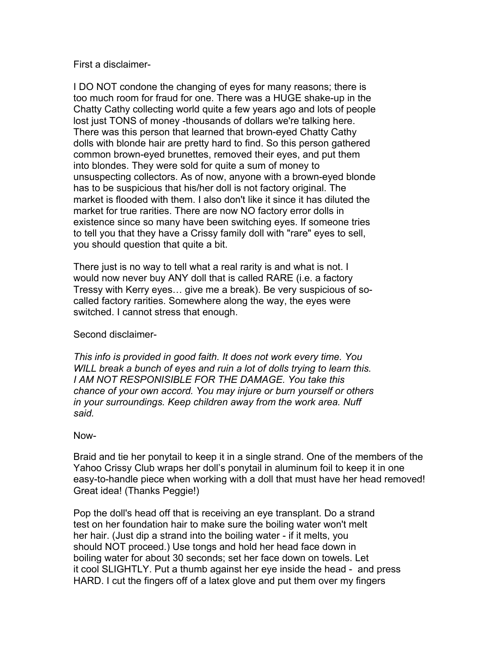## First a disclaimer-

I DO NOT condone the changing of eyes for many reasons; there is too much room for fraud for one. There was a HUGE shake-up in the Chatty Cathy collecting world quite a few years ago and lots of people lost just TONS of money -thousands of dollars we're talking here. There was this person that learned that brown-eyed Chatty Cathy dolls with blonde hair are pretty hard to find. So this person gathered common brown-eyed brunettes, removed their eyes, and put them into blondes. They were sold for quite a sum of money to unsuspecting collectors. As of now, anyone with a brown-eyed blonde has to be suspicious that his/her doll is not factory original. The market is flooded with them. I also don't like it since it has diluted the market for true rarities. There are now NO factory error dolls in existence since so many have been switching eyes. If someone tries to tell you that they have a Crissy family doll with "rare" eyes to sell, you should question that quite a bit.

There just is no way to tell what a real rarity is and what is not. I would now never buy ANY doll that is called RARE (i.e. a factory Tressy with Kerry eyes… give me a break). Be very suspicious of socalled factory rarities. Somewhere along the way, the eyes were switched. I cannot stress that enough.

## Second disclaimer-

*This info is provided in good faith. It does not work every time. You WILL break a bunch of eyes and ruin a lot of dolls trying to learn this. I AM NOT RESPONISIBLE FOR THE DAMAGE. You take this chance of your own accord. You may injure or burn yourself or others in your surroundings. Keep children away from the work area. Nuff said.* 

## Now-

Braid and tie her ponytail to keep it in a single strand. One of the members of the Yahoo Crissy Club wraps her doll's ponytail in aluminum foil to keep it in one easy-to-handle piece when working with a doll that must have her head removed! Great idea! (Thanks Peggie!)

Pop the doll's head off that is receiving an eye transplant. Do a strand test on her foundation hair to make sure the boiling water won't melt her hair. (Just dip a strand into the boiling water - if it melts, you should NOT proceed.) Use tongs and hold her head face down in boiling water for about 30 seconds; set her face down on towels. Let it cool SLIGHTLY. Put a thumb against her eye inside the head - and press HARD. I cut the fingers off of a latex glove and put them over my fingers